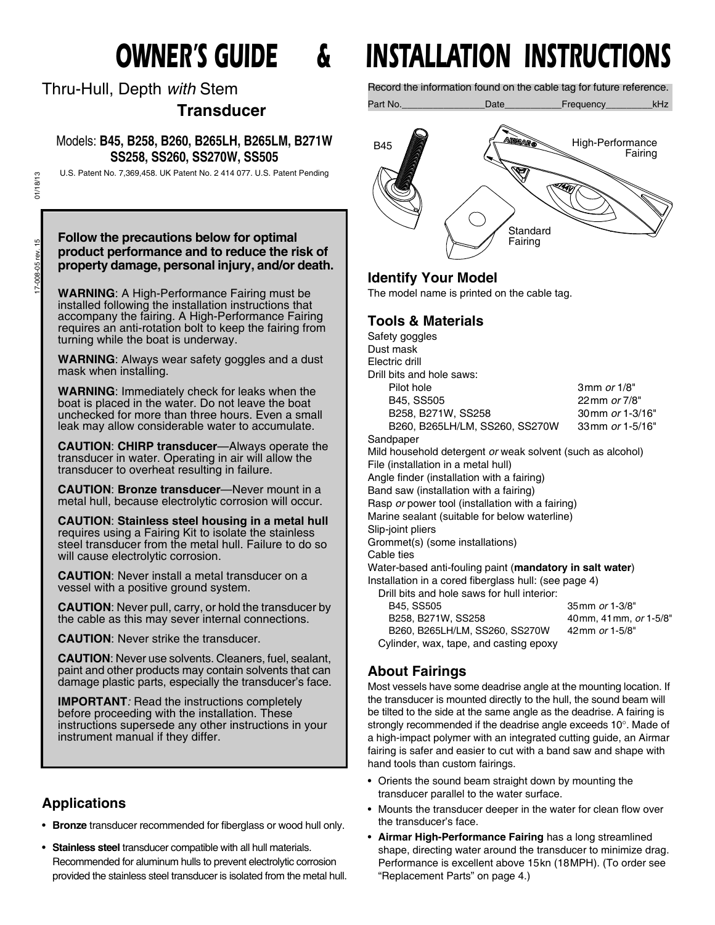Thru-Hull, Depth *with* Stem

 **Transducer**

Models: **B45, B258, B260, B265LH, B265LM, B271W SS258, SS260, SS270W, SS505**

U.S. Patent No. 7,369,458. UK Patent No. 2 414 077. U.S. Patent Pending

01/18/13 17-008-05 rev. 15 01/18/13

17-008-05 rev. 15

#### **Follow the precautions below for optimal product performance and to reduce the risk of property damage, personal injury, and/or death.**

**WARNING**: A High-Performance Fairing must be installed following the installation instructions that accompany the fairing. A High-Performance Fairing requires an anti-rotation bolt to keep the fairing from turning while the boat is underway.

**WARNING**: Always wear safety goggles and a dust mask when installing.

**WARNING**: Immediately check for leaks when the boat is placed in the water. Do not leave the boat unchecked for more than three hours. Even a small leak may allow considerable water to accumulate.

**CAUTION**: **CHIRP transducer**—Always operate the transducer in water. Operating in air will allow the transducer to overheat resulting in failure.

**CAUTION**: **Bronze transducer**—Never mount in a metal hull, because electrolytic corrosion will occur.

**CAUTION**: **Stainless steel housing in a metal hull** requires using a Fairing Kit to isolate the stainless steel transducer from the metal hull. Failure to do so will cause electrolytic corrosion.

**CAUTION**: Never install a metal transducer on a vessel with a positive ground system.

**CAUTION**: Never pull, carry, or hold the transducer by the cable as this may sever internal connections.

**CAUTION**: Never strike the transducer.

**CAUTION**: Never use solvents. Cleaners, fuel, sealant, paint and other products may contain solvents that can damage plastic parts, especially the transducer's face.

**IMPORTANT***:* Read the instructions completely before proceeding with the installation. These instructions supersede any other instructions in your instrument manual if they differ.

## **Applications**

- **Bronze** transducer recommended for fiberglass or wood hull only.
- **Stainless steel** transducer compatible with all hull materials. Recommended for aluminum hulls to prevent electrolytic corrosion provided the stainless steel transducer is isolated from the metal hull.

# *OWNER'S GUIDE & INSTALLATION INSTRUCTIONS*

Record the information found on the cable tag for future reference.

Part No.\_\_\_\_\_\_\_\_\_\_\_\_\_\_\_\_Date\_\_\_\_\_\_\_\_\_\_\_Frequency\_\_\_\_\_\_\_\_\_kHz



## **Identify Your Model**

The model name is printed on the cable tag.

## **Tools & Materials**

Safety goggles Dust mask Electric drill Drill bits and hole saws: Pilot hole 3mm *or* 1/8" B45, SS505 22mm *or* 7/8" B258, B271W, SS258 30mm *or* 1-3/16" B260, B265LH/LM, SS260, SS270W 33mm *or* 1-5/16" Sandpaper Mild household detergent *or* weak solvent (such as alcohol) File (installation in a metal hull) Angle finder (installation with a fairing) Band saw (installation with a fairing) Rasp *or* power tool (installation with a fairing) Marine sealant (suitable for below waterline) Slip-joint pliers Grommet(s) (some installations) Cable ties Water-based anti-fouling paint (**mandatory in salt water**) Installation in a cored fiberglass hull: (see page 4) Drill bits and hole saws for hull interior: B45, SS505 35mm *or* 1-3/8" B258, B271W, SS258 40mm, 41mm, *or* 1-5/8"<br>B260, B265LH/LM, SS260, SS270W 42mm *or* 1-5/8" B260, B265LH/LM, SS260, SS270W

Cylinder, wax, tape, and casting epoxy

## **About Fairings**

Most vessels have some deadrise angle at the mounting location. If the transducer is mounted directly to the hull, the sound beam will be tilted to the side at the same angle as the deadrise. A fairing is strongly recommended if the deadrise angle exceeds 10°. Made of a high-impact polymer with an integrated cutting guide, an Airmar fairing is safer and easier to cut with a band saw and shape with hand tools than custom fairings.

- Orients the sound beam straight down by mounting the transducer parallel to the water surface.
- Mounts the transducer deeper in the water for clean flow over the transducer's face.
- **Airmar High-Performance Fairing** has a long streamlined shape, directing water around the transducer to minimize drag. Performance is excellent above 15kn (18MPH). (To order see "Replacement Parts" on page 4.)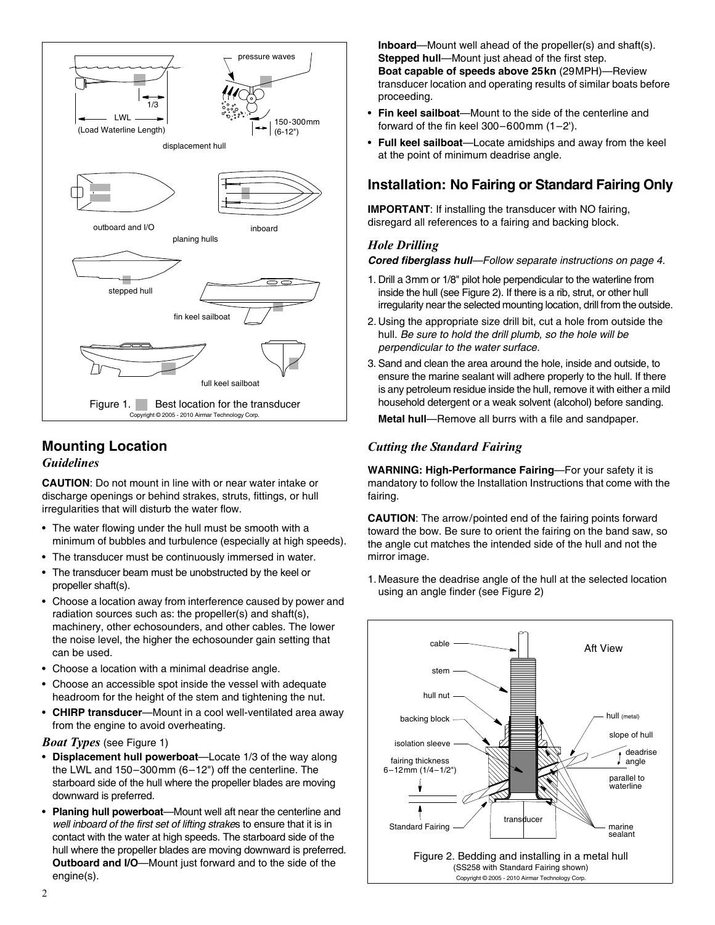

## **Mounting Location**

#### *Guidelines*

**CAUTION**: Do not mount in line with or near water intake or discharge openings or behind strakes, struts, fittings, or hull irregularities that will disturb the water flow.

- The water flowing under the hull must be smooth with a minimum of bubbles and turbulence (especially at high speeds).
- The transducer must be continuously immersed in water.
- The transducer beam must be unobstructed by the keel or propeller shaft(s).
- Choose a location away from interference caused by power and radiation sources such as: the propeller(s) and shaft(s), machinery, other echosounders, and other cables. The lower the noise level, the higher the echosounder gain setting that can be used.
- Choose a location with a minimal deadrise angle.
- Choose an accessible spot inside the vessel with adequate headroom for the height of the stem and tightening the nut.
- **CHIRP transducer**—Mount in a cool well-ventilated area away from the engine to avoid overheating.

#### *Boat Types* (see Figure 1)

- **Displacement hull powerboat**—Locate 1/3 of the way along the LWL and 150–300mm (6–12") off the centerline. The starboard side of the hull where the propeller blades are moving downward is preferred.
- **Planing hull powerboat**—Mount well aft near the centerline and *well inboard of the first set of lifting strake*s to ensure that it is in contact with the water at high speeds. The starboard side of the hull where the propeller blades are moving downward is preferred. **Outboard and I/O**—Mount just forward and to the side of the engine(s).

**Inboard**—Mount well ahead of the propeller(s) and shaft(s). **Stepped hull**—Mount just ahead of the first step. **Boat capable of speeds above 25kn** (29MPH)—Review transducer location and operating results of similar boats before proceeding.

- **Fin keel sailboat**—Mount to the side of the centerline and forward of the fin keel  $300-600$  mm  $(1-2^{\prime})$ .
- **Full keel sailboat**—Locate amidships and away from the keel at the point of minimum deadrise angle.

## **Installation: No Fairing or Standard Fairing Only**

**IMPORTANT**: If installing the transducer with NO fairing, disregard all references to a fairing and backing block.

#### *Hole Drilling*

#### *Cored fiberglass hull—Follow separate instructions on page 4.*

- 1. Drill a 3mm or 1/8" pilot hole perpendicular to the waterline from inside the hull (see Figure 2). If there is a rib, strut, or other hull irregularity near the selected mounting location, drill from the outside.
- 2. Using the appropriate size drill bit, cut a hole from outside the hull. *Be sure to hold the drill plumb, so the hole will be perpendicular to the water surface.*
- 3. Sand and clean the area around the hole, inside and outside, to ensure the marine sealant will adhere properly to the hull. If there is any petroleum residue inside the hull, remove it with either a mild household detergent or a weak solvent (alcohol) before sanding.

**Metal hull**—Remove all burrs with a file and sandpaper.

### *Cutting the Standard Fairing*

**WARNING: High-Performance Fairing**—For your safety it is mandatory to follow the Installation Instructions that come with the fairing.

**CAUTION**: The arrow/pointed end of the fairing points forward toward the bow. Be sure to orient the fairing on the band saw, so the angle cut matches the intended side of the hull and not the mirror image.

1. Measure the deadrise angle of the hull at the selected location using an angle finder (see Figure 2)

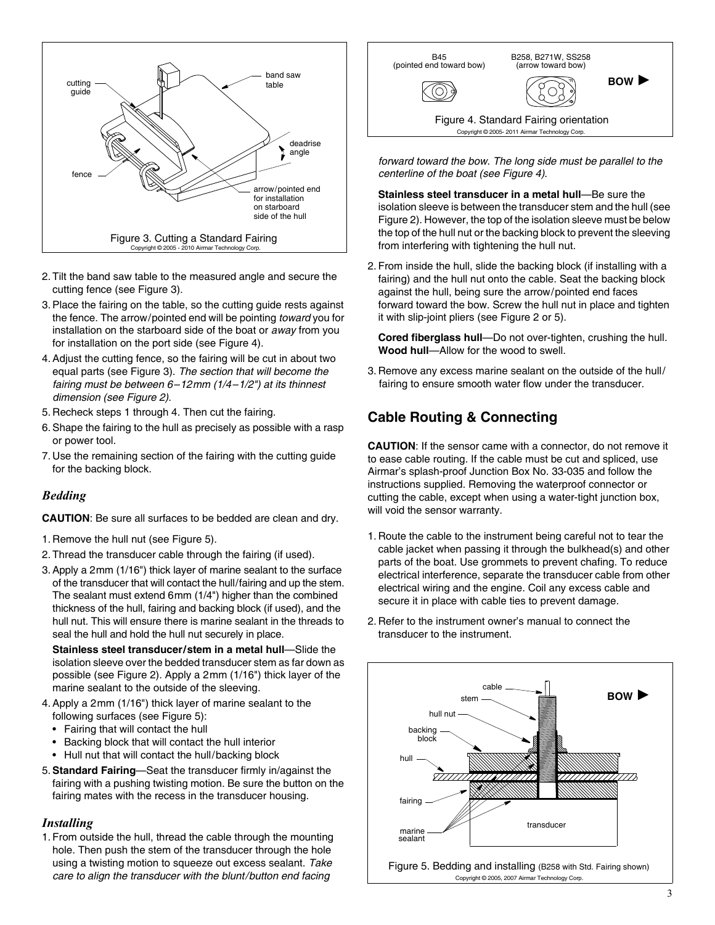

- 2. Tilt the band saw table to the measured angle and secure the cutting fence (see Figure 3).
- 3. Place the fairing on the table, so the cutting guide rests against the fence. The arrow/pointed end will be pointing *toward* you for installation on the starboard side of the boat or *away* from you for installation on the port side (see Figure 4).
- 4. Adjust the cutting fence, so the fairing will be cut in about two equal parts (see Figure 3). *The section that will become the fairing must be between 6–12mm (1/4–1/2") at its thinnest dimension (see Figure 2)*.
- 5. Recheck steps 1 through 4. Then cut the fairing.
- 6. Shape the fairing to the hull as precisely as possible with a rasp or power tool.
- 7. Use the remaining section of the fairing with the cutting guide for the backing block.

#### *Bedding*

**CAUTION**: Be sure all surfaces to be bedded are clean and dry.

- 1. Remove the hull nut (see Figure 5).
- 2. Thread the transducer cable through the fairing (if used).
- 3. Apply a 2mm (1/16") thick layer of marine sealant to the surface of the transducer that will contact the hull/fairing and up the stem. The sealant must extend 6mm (1/4") higher than the combined thickness of the hull, fairing and backing block (if used), and the hull nut. This will ensure there is marine sealant in the threads to seal the hull and hold the hull nut securely in place.

**Stainless steel transducer/stem in a metal hull**—Slide the isolation sleeve over the bedded transducer stem as far down as possible (see Figure 2). Apply a 2mm (1/16") thick layer of the marine sealant to the outside of the sleeving.

- 4. Apply a 2mm (1/16") thick layer of marine sealant to the following surfaces (see Figure 5):
	- Fairing that will contact the hull
	- Backing block that will contact the hull interior
	- Hull nut that will contact the hull/backing block
- 5. **Standard Fairing**—Seat the transducer firmly in/against the fairing with a pushing twisting motion. Be sure the button on the fairing mates with the recess in the transducer housing.

#### *Installing*

1. From outside the hull, thread the cable through the mounting hole. Then push the stem of the transducer through the hole using a twisting motion to squeeze out excess sealant. *Take care to align the transducer with the blunt/button end facing* 

**B45** B258, B271W, SS258 (pointed end toward bow) (arrow toward bow) **BOW** ► FO) Figure 4. Standard Fairing orientation Copyright © 2005- 2011 Airmar Technology Corp.

*forward toward the bow. The long side must be parallel to the centerline of the boat (see Figure 4)*.

**Stainless steel transducer in a metal hull**—Be sure the isolation sleeve is between the transducer stem and the hull (see Figure 2). However, the top of the isolation sleeve must be below the top of the hull nut or the backing block to prevent the sleeving from interfering with tightening the hull nut.

2. From inside the hull, slide the backing block (if installing with a fairing) and the hull nut onto the cable. Seat the backing block against the hull, being sure the arrow/pointed end faces forward toward the bow. Screw the hull nut in place and tighten it with slip-joint pliers (see Figure 2 or 5).

**Cored fiberglass hull**—Do not over-tighten, crushing the hull. **Wood hull**—Allow for the wood to swell.

3. Remove any excess marine sealant on the outside of the hull/ fairing to ensure smooth water flow under the transducer.

## **Cable Routing & Connecting**

**CAUTION**: If the sensor came with a connector, do not remove it to ease cable routing. If the cable must be cut and spliced, use Airmar's splash-proof Junction Box No. 33-035 and follow the instructions supplied. Removing the waterproof connector or cutting the cable, except when using a water-tight junction box, will void the sensor warranty.

- 1. Route the cable to the instrument being careful not to tear the cable jacket when passing it through the bulkhead(s) and other parts of the boat. Use grommets to prevent chafing. To reduce electrical interference, separate the transducer cable from other electrical wiring and the engine. Coil any excess cable and secure it in place with cable ties to prevent damage.
- 2. Refer to the instrument owner's manual to connect the transducer to the instrument.



Figure 5. Bedding and installing (B258 with Std. Fairing shown) Copyright © 2005, 2007 Airmar Technology Corp.